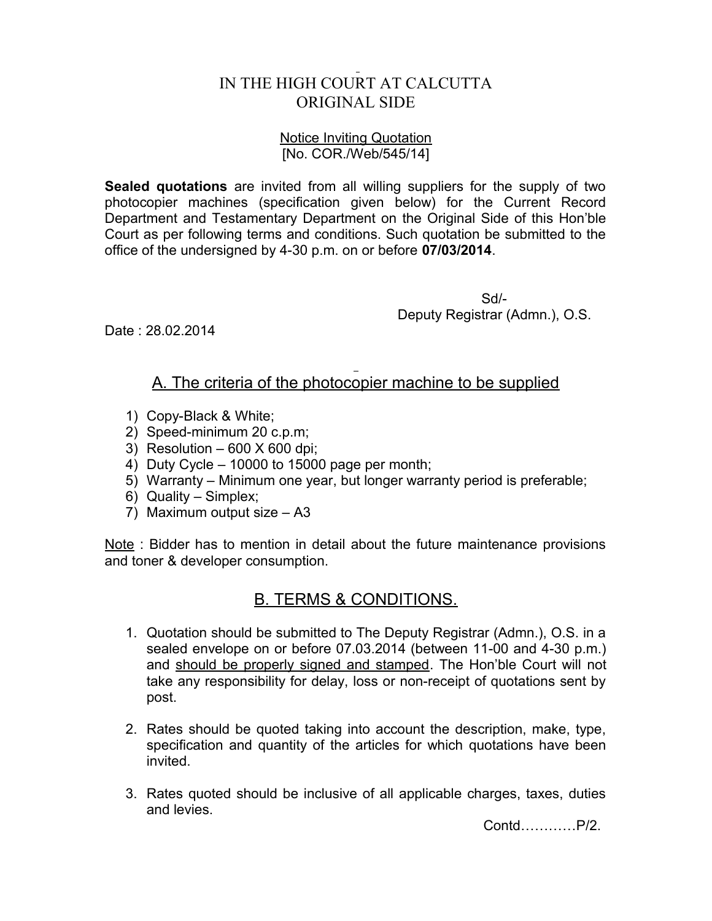## IN THE HIGH COURT AT CALCUTTA ORIGINAL SIDE

## Notice Inviting Quotation [No. COR./Web/545/14]

**Sealed quotations** are invited from all willing suppliers for the supply of two photocopier machines (specification given below) for the Current Record Department and Testamentary Department on the Original Side of this Hon'ble Court as per following terms and conditions. Such quotation be submitted to the office of the undersigned by 4-30 p.m. on or before **07/03/2014**.

> Sd/- Deputy Registrar (Admn.), O.S.

Date : 28.02.2014

## A. The criteria of the photocopier machine to be supplied

- 1) Copy-Black & White;
- 2) Speed-minimum 20 c.p.m;
- 3) Resolution  $-600$  X 600 dpi;
- 4) Duty Cycle 10000 to 15000 page per month;
- 5) Warranty Minimum one year, but longer warranty period is preferable;
- 6) Quality Simplex;
- 7) Maximum output size A3

Note : Bidder has to mention in detail about the future maintenance provisions and toner & developer consumption.

## B. TERMS & CONDITIONS.

- 1. Quotation should be submitted to The Deputy Registrar (Admn.), O.S. in a sealed envelope on or before 07.03.2014 (between 11-00 and 4-30 p.m.) and should be properly signed and stamped. The Hon'ble Court will not take any responsibility for delay, loss or non-receipt of quotations sent by post.
- 2. Rates should be quoted taking into account the description, make, type, specification and quantity of the articles for which quotations have been invited.
- 3. Rates quoted should be inclusive of all applicable charges, taxes, duties and levies.

Contd…………P/2.